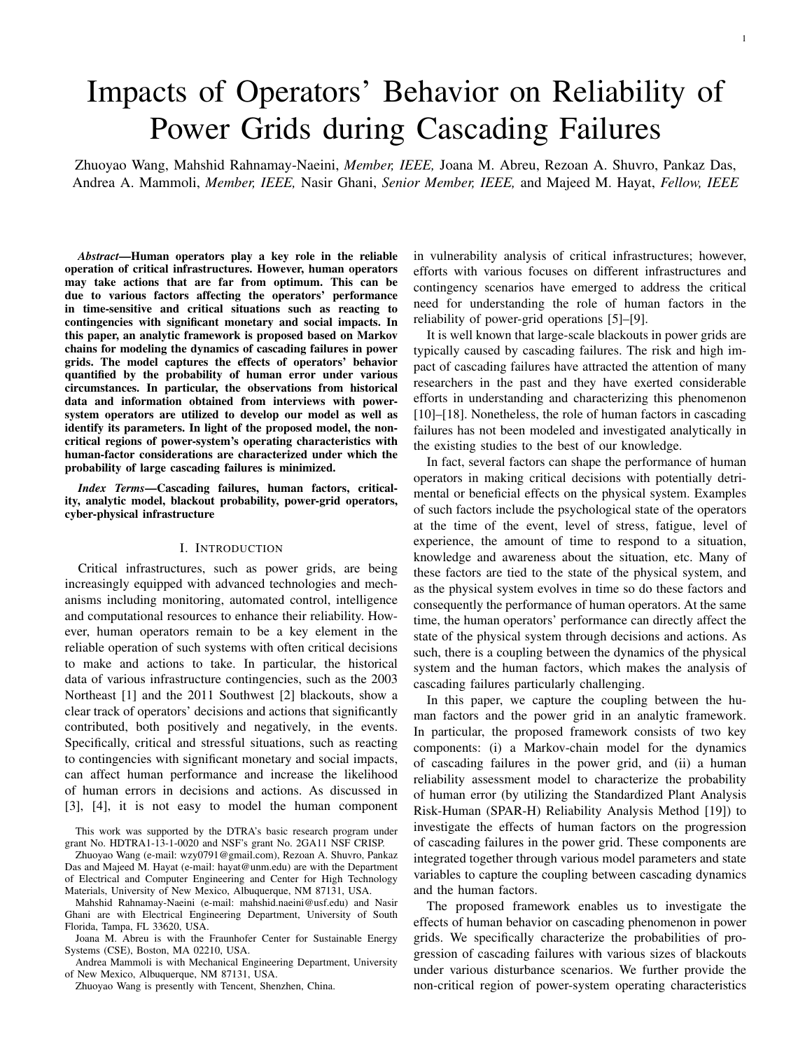# Impacts of Operators' Behavior on Reliability of Power Grids during Cascading Failures

Zhuoyao Wang, Mahshid Rahnamay-Naeini, *Member, IEEE,* Joana M. Abreu, Rezoan A. Shuvro, Pankaz Das, Andrea A. Mammoli, *Member, IEEE,* Nasir Ghani, *Senior Member, IEEE,* and Majeed M. Hayat, *Fellow, IEEE*

*Abstract*—Human operators play a key role in the reliable operation of critical infrastructures. However, human operators may take actions that are far from optimum. This can be due to various factors affecting the operators' performance in time-sensitive and critical situations such as reacting to contingencies with significant monetary and social impacts. In this paper, an analytic framework is proposed based on Markov chains for modeling the dynamics of cascading failures in power grids. The model captures the effects of operators' behavior quantified by the probability of human error under various circumstances. In particular, the observations from historical data and information obtained from interviews with powersystem operators are utilized to develop our model as well as identify its parameters. In light of the proposed model, the noncritical regions of power-system's operating characteristics with human-factor considerations are characterized under which the probability of large cascading failures is minimized.

*Index Terms*—Cascading failures, human factors, criticality, analytic model, blackout probability, power-grid operators, cyber-physical infrastructure

## I. INTRODUCTION

Critical infrastructures, such as power grids, are being increasingly equipped with advanced technologies and mechanisms including monitoring, automated control, intelligence and computational resources to enhance their reliability. However, human operators remain to be a key element in the reliable operation of such systems with often critical decisions to make and actions to take. In particular, the historical data of various infrastructure contingencies, such as the 2003 Northeast [1] and the 2011 Southwest [2] blackouts, show a clear track of operators' decisions and actions that significantly contributed, both positively and negatively, in the events. Specifically, critical and stressful situations, such as reacting to contingencies with significant monetary and social impacts, can affect human performance and increase the likelihood of human errors in decisions and actions. As discussed in [3], [4], it is not easy to model the human component

This work was supported by the DTRA's basic research program under grant No. HDTRA1-13-1-0020 and NSF's grant No. 2GA11 NSF CRISP.

Zhuoyao Wang (e-mail: wzy0791@gmail.com), Rezoan A. Shuvro, Pankaz Das and Majeed M. Hayat (e-mail: hayat@unm.edu) are with the Department of Electrical and Computer Engineering and Center for High Technology Materials, University of New Mexico, Albuquerque, NM 87131, USA.

Mahshid Rahnamay-Naeini (e-mail: mahshid.naeini@usf.edu) and Nasir Ghani are with Electrical Engineering Department, University of South Florida, Tampa, FL 33620, USA.

Joana M. Abreu is with the Fraunhofer Center for Sustainable Energy Systems (CSE), Boston, MA 02210, USA.

Andrea Mammoli is with Mechanical Engineering Department, University of New Mexico, Albuquerque, NM 87131, USA.

Zhuoyao Wang is presently with Tencent, Shenzhen, China.

in vulnerability analysis of critical infrastructures; however, efforts with various focuses on different infrastructures and contingency scenarios have emerged to address the critical need for understanding the role of human factors in the reliability of power-grid operations [5]–[9].

It is well known that large-scale blackouts in power grids are typically caused by cascading failures. The risk and high impact of cascading failures have attracted the attention of many researchers in the past and they have exerted considerable efforts in understanding and characterizing this phenomenon [10]–[18]. Nonetheless, the role of human factors in cascading failures has not been modeled and investigated analytically in the existing studies to the best of our knowledge.

In fact, several factors can shape the performance of human operators in making critical decisions with potentially detrimental or beneficial effects on the physical system. Examples of such factors include the psychological state of the operators at the time of the event, level of stress, fatigue, level of experience, the amount of time to respond to a situation, knowledge and awareness about the situation, etc. Many of these factors are tied to the state of the physical system, and as the physical system evolves in time so do these factors and consequently the performance of human operators. At the same time, the human operators' performance can directly affect the state of the physical system through decisions and actions. As such, there is a coupling between the dynamics of the physical system and the human factors, which makes the analysis of cascading failures particularly challenging.

In this paper, we capture the coupling between the human factors and the power grid in an analytic framework. In particular, the proposed framework consists of two key components: (i) a Markov-chain model for the dynamics of cascading failures in the power grid, and (ii) a human reliability assessment model to characterize the probability of human error (by utilizing the Standardized Plant Analysis Risk-Human (SPAR-H) Reliability Analysis Method [19]) to investigate the effects of human factors on the progression of cascading failures in the power grid. These components are integrated together through various model parameters and state variables to capture the coupling between cascading dynamics and the human factors.

The proposed framework enables us to investigate the effects of human behavior on cascading phenomenon in power grids. We specifically characterize the probabilities of progression of cascading failures with various sizes of blackouts under various disturbance scenarios. We further provide the non-critical region of power-system operating characteristics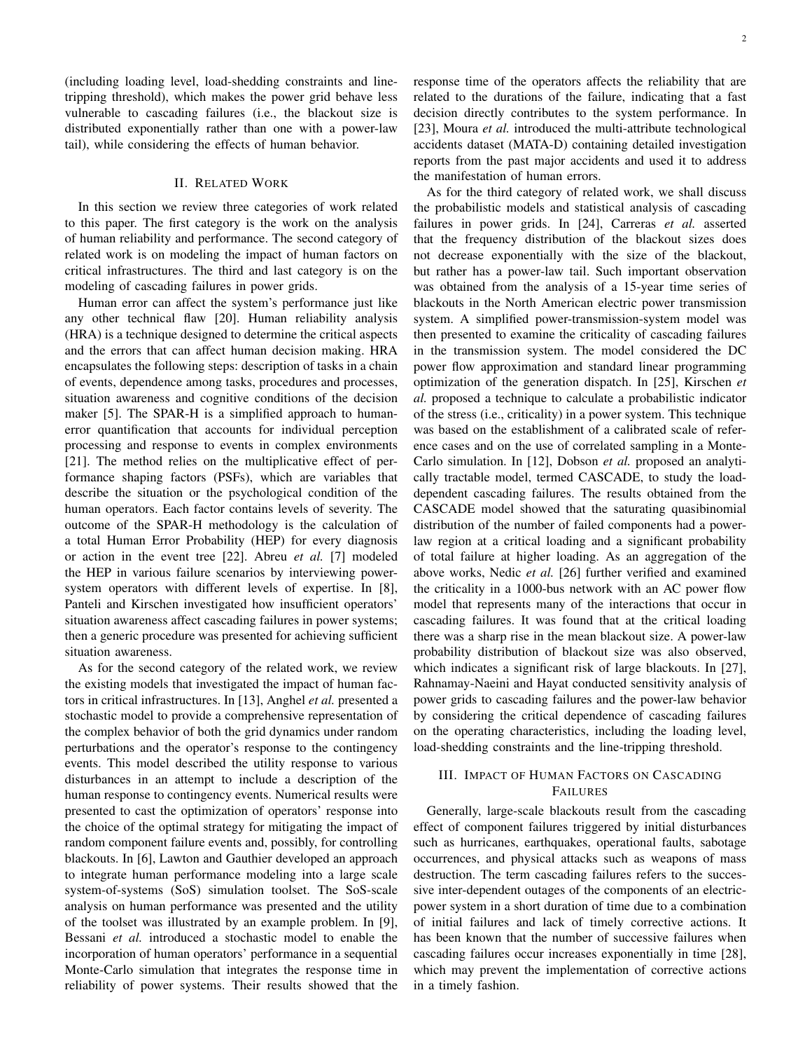(including loading level, load-shedding constraints and linetripping threshold), which makes the power grid behave less vulnerable to cascading failures (i.e., the blackout size is distributed exponentially rather than one with a power-law tail), while considering the effects of human behavior.

## II. RELATED WORK

In this section we review three categories of work related to this paper. The first category is the work on the analysis of human reliability and performance. The second category of related work is on modeling the impact of human factors on critical infrastructures. The third and last category is on the modeling of cascading failures in power grids.

Human error can affect the system's performance just like any other technical flaw [20]. Human reliability analysis (HRA) is a technique designed to determine the critical aspects and the errors that can affect human decision making. HRA encapsulates the following steps: description of tasks in a chain of events, dependence among tasks, procedures and processes, situation awareness and cognitive conditions of the decision maker [5]. The SPAR-H is a simplified approach to humanerror quantification that accounts for individual perception processing and response to events in complex environments [21]. The method relies on the multiplicative effect of performance shaping factors (PSFs), which are variables that describe the situation or the psychological condition of the human operators. Each factor contains levels of severity. The outcome of the SPAR-H methodology is the calculation of a total Human Error Probability (HEP) for every diagnosis or action in the event tree [22]. Abreu *et al.* [7] modeled the HEP in various failure scenarios by interviewing powersystem operators with different levels of expertise. In [8], Panteli and Kirschen investigated how insufficient operators' situation awareness affect cascading failures in power systems; then a generic procedure was presented for achieving sufficient situation awareness.

As for the second category of the related work, we review the existing models that investigated the impact of human factors in critical infrastructures. In [13], Anghel *et al.* presented a stochastic model to provide a comprehensive representation of the complex behavior of both the grid dynamics under random perturbations and the operator's response to the contingency events. This model described the utility response to various disturbances in an attempt to include a description of the human response to contingency events. Numerical results were presented to cast the optimization of operators' response into the choice of the optimal strategy for mitigating the impact of random component failure events and, possibly, for controlling blackouts. In [6], Lawton and Gauthier developed an approach to integrate human performance modeling into a large scale system-of-systems (SoS) simulation toolset. The SoS-scale analysis on human performance was presented and the utility of the toolset was illustrated by an example problem. In [9], Bessani *et al.* introduced a stochastic model to enable the incorporation of human operators' performance in a sequential Monte-Carlo simulation that integrates the response time in reliability of power systems. Their results showed that the

response time of the operators affects the reliability that are related to the durations of the failure, indicating that a fast decision directly contributes to the system performance. In [23], Moura *et al.* introduced the multi-attribute technological accidents dataset (MATA-D) containing detailed investigation reports from the past major accidents and used it to address the manifestation of human errors.

As for the third category of related work, we shall discuss the probabilistic models and statistical analysis of cascading failures in power grids. In [24], Carreras *et al.* asserted that the frequency distribution of the blackout sizes does not decrease exponentially with the size of the blackout, but rather has a power-law tail. Such important observation was obtained from the analysis of a 15-year time series of blackouts in the North American electric power transmission system. A simplified power-transmission-system model was then presented to examine the criticality of cascading failures in the transmission system. The model considered the DC power flow approximation and standard linear programming optimization of the generation dispatch. In [25], Kirschen *et al.* proposed a technique to calculate a probabilistic indicator of the stress (i.e., criticality) in a power system. This technique was based on the establishment of a calibrated scale of reference cases and on the use of correlated sampling in a Monte-Carlo simulation. In [12], Dobson *et al.* proposed an analytically tractable model, termed CASCADE, to study the loaddependent cascading failures. The results obtained from the CASCADE model showed that the saturating quasibinomial distribution of the number of failed components had a powerlaw region at a critical loading and a significant probability of total failure at higher loading. As an aggregation of the above works, Nedic *et al.* [26] further verified and examined the criticality in a 1000-bus network with an AC power flow model that represents many of the interactions that occur in cascading failures. It was found that at the critical loading there was a sharp rise in the mean blackout size. A power-law probability distribution of blackout size was also observed, which indicates a significant risk of large blackouts. In [27], Rahnamay-Naeini and Hayat conducted sensitivity analysis of power grids to cascading failures and the power-law behavior by considering the critical dependence of cascading failures on the operating characteristics, including the loading level, load-shedding constraints and the line-tripping threshold.

# III. IMPACT OF HUMAN FACTORS ON CASCADING **FAILURES**

Generally, large-scale blackouts result from the cascading effect of component failures triggered by initial disturbances such as hurricanes, earthquakes, operational faults, sabotage occurrences, and physical attacks such as weapons of mass destruction. The term cascading failures refers to the successive inter-dependent outages of the components of an electricpower system in a short duration of time due to a combination of initial failures and lack of timely corrective actions. It has been known that the number of successive failures when cascading failures occur increases exponentially in time [28], which may prevent the implementation of corrective actions in a timely fashion.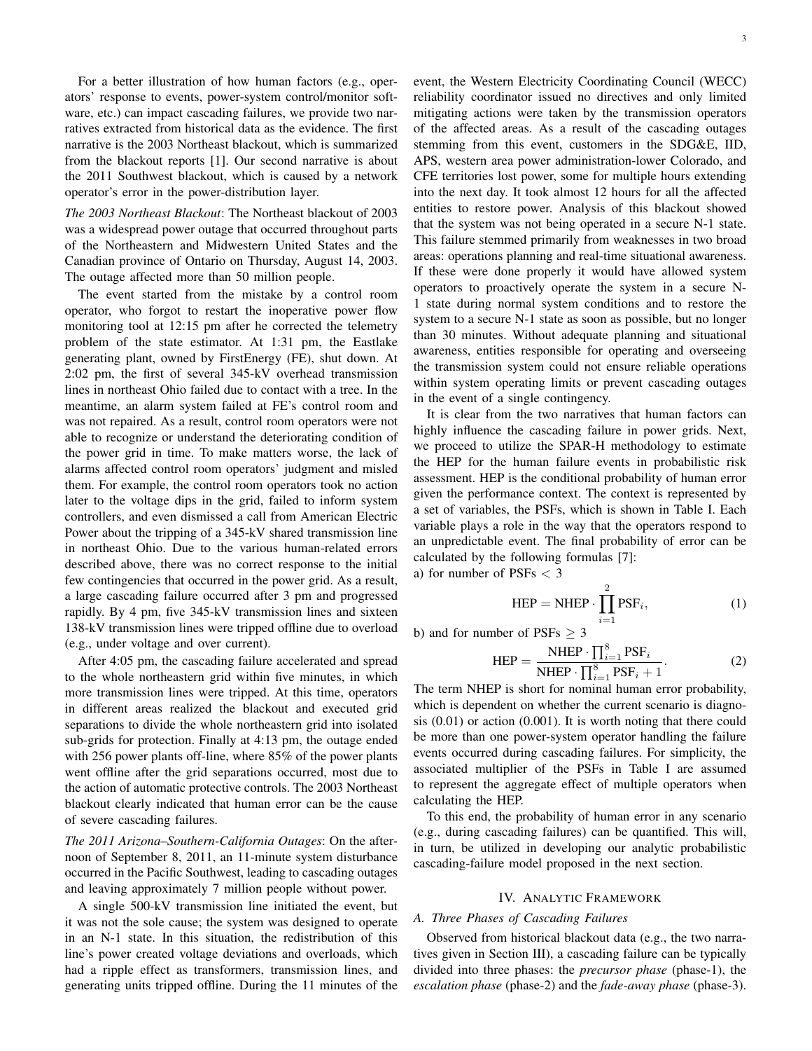3

For a better illustration of how human factors (e.g., operators' response to events, power-system control/monitor software, etc.) can impact cascading failures, we provide two narratives extracted from historical data as the evidence. The first narrative is the 2003 Northeast blackout, which is summarized from the blackout reports [1]. Our second narrative is about the 2011 Southwest blackout, which is caused by a network operator's error in the power-distribution layer.

*The 2003 Northeast Blackout*: The Northeast blackout of 2003 was a widespread power outage that occurred throughout parts of the Northeastern and Midwestern United States and the Canadian province of Ontario on Thursday, August 14, 2003. The outage affected more than 50 million people.

The event started from the mistake by a control room operator, who forgot to restart the inoperative power flow monitoring tool at 12:15 pm after he corrected the telemetry problem of the state estimator. At 1:31 pm, the Eastlake generating plant, owned by FirstEnergy (FE), shut down. At 2:02 pm, the first of several 345-kV overhead transmission lines in northeast Ohio failed due to contact with a tree. In the meantime, an alarm system failed at FE's control room and was not repaired. As a result, control room operators were not able to recognize or understand the deteriorating condition of the power grid in time. To make matters worse, the lack of alarms affected control room operators' judgment and misled them. For example, the control room operators took no action later to the voltage dips in the grid, failed to inform system controllers, and even dismissed a call from American Electric Power about the tripping of a 345-kV shared transmission line in northeast Ohio. Due to the various human-related errors described above, there was no correct response to the initial few contingencies that occurred in the power grid. As a result, a large cascading failure occurred after 3 pm and progressed rapidly. By 4 pm, five 345-kV transmission lines and sixteen 138-kV transmission lines were tripped offline due to overload (e.g., under voltage and over current).

After 4:05 pm, the cascading failure accelerated and spread to the whole northeastern grid within five minutes, in which more transmission lines were tripped. At this time, operators in different areas realized the blackout and executed grid separations to divide the whole northeastern grid into isolated sub-grids for protection. Finally at 4:13 pm, the outage ended with 256 power plants of f-line, where 85% of the power plants went offline after the grid separations occurred, most due to the action of automatic protective controls. The 2003 Northeast blackout clearly indicated that human error can be the cause of severe cascading failures.

*The 2011 Arizona–Southern-California Outages*: On the afternoon of September 8, 2011, an 11-minute system disturbance occurred in the Pacific Southwest, leading to cascading outages and leaving approximately 7 million people without power.

A single 500-kV transmission line initiated the event, but it was not the sole cause; the system was designed to operate in an N-1 state. In this situation, the redistribution of this line's power created voltage deviations and overloads, which had a ripple effect as transformers, transmission lines, and generating units tripped offline. During the 11 minutes of the event, the Western Electricity Coordinating Council (WECC) reliability coordinator issued no directives and only limited mitigating actions were taken by the transmission operators of the affected areas. As a result of the cascading outages stemming from this event, customers in the SDG&E, IID, APS, western area power administration-lower Colorado, and CFE territories lost power, some for multiple hours extending into the next day. It took almost 12 hours for all the affected entities to restore power. Analysis of this blackout showed that the system was not being operated in a secure N-1 state. This failure stemmed primarily from weaknesses in two broad areas: operations planning and real-time situational awareness. If these were done properly it would have allowed system operators to proactively operate the system in a secure N-1 state during normal system conditions and to restore the system to a secure N-1 state as soon as possible, but no longer than 30 minutes. Without adequate planning and situational awareness, entities responsible for operating and overseeing the transmission system could not ensure reliable operations within system operating limits or prevent cascading outages in the event of a single contingency.

It is clear from the two narratives that human factors can highly influence the cascading failure in power grids. Next, we proceed to utilize the SPAR-H methodology to estimate the HEP for the human failure events in probabilistic risk assessment. HEP is the conditional probability of human error given the performance context. The context is represented by a set of variables, the PSFs, which is shown in Table I. Each variable plays a role in the way that the operators respond to an unpredictable event. The final probability of error can be calculated by the following formulas [7]:

a) for number of PSFs < 3

$$
HEP = NHEP \cdot \prod_{i=1}^{2} PSF_i,
$$
 (1)

b) and for number of PSFs  $\geq$  3

$$
HEP = \frac{NHEP \cdot \prod_{i=1}^{8} PSF_i}{NHEP \cdot \prod_{i=1}^{8} PSF_i + 1}.
$$
 (2)

The term NHEP is short for nominal human error probability, which is dependent on whether the current scenario is diagnosis (0.01) or action (0.001). It is worth noting that there could be more than one power-system operator handling the failure events occurred during cascading failures. For simplicity, the associated multiplier of the PSFs in Table I are assumed to represent the aggregate effect of multiple operators when calculating the HEP.

To this end, the probability of human error in any scenario (e.g., during cascading failures) can be quantified. This will, in turn, be utilized in developing our analytic probabilistic cascading-failure model proposed in the next section.

# IV. ANALYTIC FRAMEWORK

# *A. Three Phases of Cascading Failures*

Observed from historical blackout data (e.g., the two narratives given in Section III), a cascading failure can be typically divided into three phases: the *precursor phase* (phase-1), the *escalation phase* (phase-2) and the *fade-away phase* (phase-3).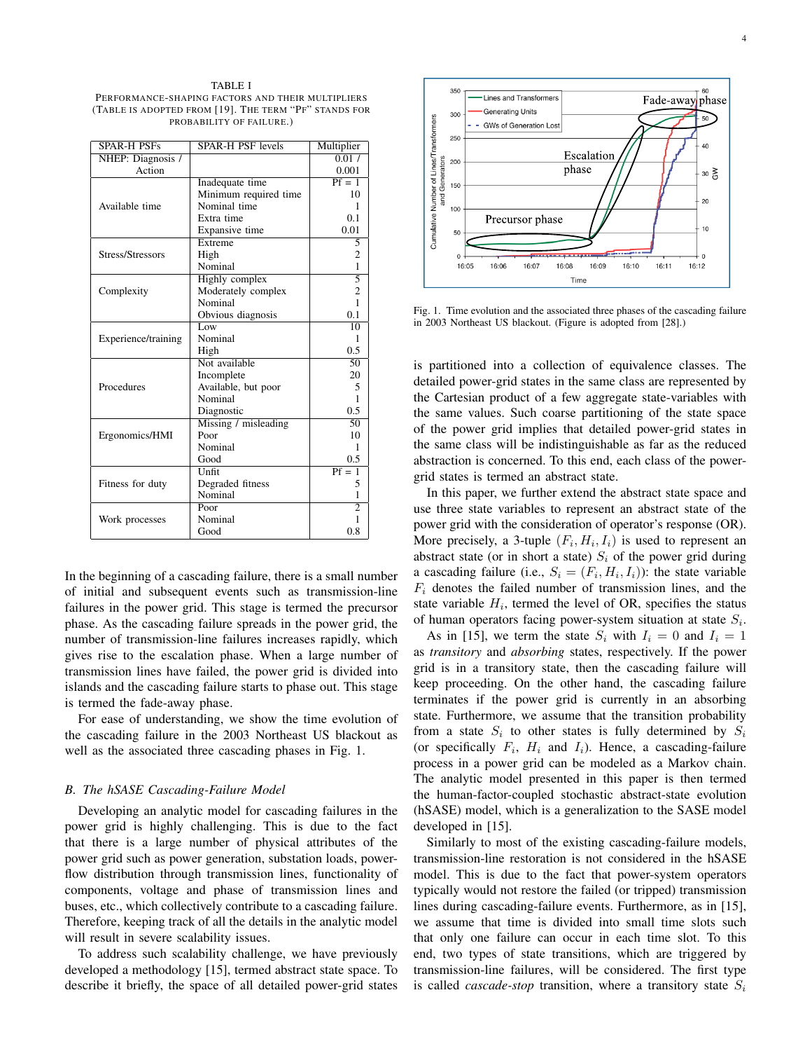TABLE I PERFORMANCE-SHAPING FACTORS AND THEIR MULTIPLIERS (TABLE IS ADOPTED FROM [19]. THE TERM "PF" STANDS FOR PROBABILITY OF FAILURE.)

| <b>SPAR-H PSFs</b>  | <b>SPAR-H PSF</b> levels | Multiplier      |
|---------------------|--------------------------|-----------------|
| NHEP: Diagnosis /   |                          | 0.01 /          |
| Action              |                          | 0.001           |
|                     | Inadequate time          | $Pf = 1$        |
|                     | Minimum required time    | 10              |
| Available time      | Nominal time             | 1               |
|                     | Extra time               | 0.1             |
|                     | Expansive time           | 0.01            |
|                     | Extreme                  | 5               |
| Stress/Stressors    | High                     | 2               |
|                     | Nominal                  | $\mathbf{1}$    |
|                     | Highly complex           | 5               |
| Complexity          | Moderately complex       | $\overline{c}$  |
|                     | Nominal                  | $\mathbf{1}$    |
|                     | Obvious diagnosis        | 0.1             |
|                     | Low                      | 10              |
| Experience/training | Nominal                  | 1               |
|                     | High                     | $0.5^{\circ}$   |
|                     | Not available            | $\overline{50}$ |
| Procedures          | Incomplete               | 20              |
|                     | Available, but poor      | 5               |
|                     | Nominal                  | 1               |
|                     | Diagnostic               | 0.5             |
|                     | Missing / misleading     | 50              |
| Ergonomics/HMI      | Poor                     | 10              |
|                     | Nominal                  | 1               |
|                     | Good                     | 0.5             |
| Fitness for duty    | Unfit                    | $Pf = 1$        |
|                     | Degraded fitness         | 5               |
|                     | Nominal                  | 1               |
|                     | Poor                     |                 |
| Work processes      | Nominal                  | 1               |
|                     | Good                     | 0.8             |

In the beginning of a cascading failure, there is a small number of initial and subsequent events such as transmission-line failures in the power grid. This stage is termed the precursor phase. As the cascading failure spreads in the power grid, the number of transmission-line failures increases rapidly, which gives rise to the escalation phase. When a large number of transmission lines have failed, the power grid is divided into islands and the cascading failure starts to phase out. This stage is termed the fade-away phase.

For ease of understanding, we show the time evolution of the cascading failure in the 2003 Northeast US blackout as well as the associated three cascading phases in Fig. 1.

#### *B. The hSASE Cascading-Failure Model*

Developing an analytic model for cascading failures in the power grid is highly challenging. This is due to the fact that there is a large number of physical attributes of the power grid such as power generation, substation loads, powerflow distribution through transmission lines, functionality of components, voltage and phase of transmission lines and buses, etc., which collectively contribute to a cascading failure. Therefore, keeping track of all the details in the analytic model will result in severe scalability issues.

To address such scalability challenge, we have previously developed a methodology [15], termed abstract state space. To describe it briefly, the space of all detailed power-grid states



Fig. 1. Time evolution and the associated three phases of the cascading failure in 2003 Northeast US blackout. (Figure is adopted from [28].)

is partitioned into a collection of equivalence classes. The detailed power-grid states in the same class are represented by the Cartesian product of a few aggregate state-variables with the same values. Such coarse partitioning of the state space of the power grid implies that detailed power-grid states in the same class will be indistinguishable as far as the reduced abstraction is concerned. To this end, each class of the powergrid states is termed an abstract state.

In this paper, we further extend the abstract state space and use three state variables to represent an abstract state of the power grid with the consideration of operator's response (OR). More precisely, a 3-tuple  $(F_i, H_i, I_i)$  is used to represent an abstract state (or in short a state)  $S_i$  of the power grid during a cascading failure (i.e.,  $S_i = (F_i, H_i, I_i)$ ): the state variable  $F_i$  denotes the failed number of transmission lines, and the state variable  $H_i$ , termed the level of OR, specifies the status of human operators facing power-system situation at state  $S_i$ .

As in [15], we term the state  $S_i$  with  $I_i = 0$  and  $I_i = 1$ as *transitory* and *absorbing* states, respectively. If the power grid is in a transitory state, then the cascading failure will keep proceeding. On the other hand, the cascading failure terminates if the power grid is currently in an absorbing state. Furthermore, we assume that the transition probability from a state  $S_i$  to other states is fully determined by  $S_i$ (or specifically  $F_i$ ,  $H_i$  and  $I_i$ ). Hence, a cascading-failure process in a power grid can be modeled as a Markov chain. The analytic model presented in this paper is then termed the human-factor-coupled stochastic abstract-state evolution (hSASE) model, which is a generalization to the SASE model developed in [15].

Similarly to most of the existing cascading-failure models, transmission-line restoration is not considered in the hSASE model. This is due to the fact that power-system operators typically would not restore the failed (or tripped) transmission lines during cascading-failure events. Furthermore, as in [15], we assume that time is divided into small time slots such that only one failure can occur in each time slot. To this end, two types of state transitions, which are triggered by transmission-line failures, will be considered. The first type is called *cascade-stop* transition, where a transitory state  $S_i$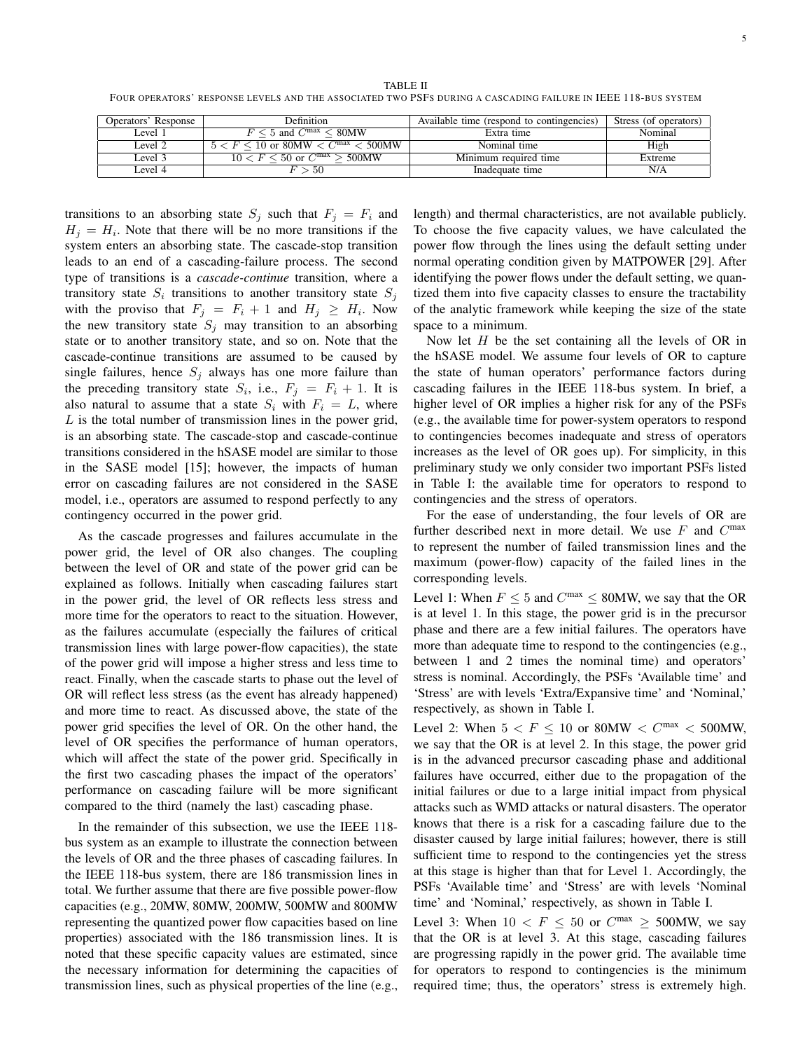TABLE II FOUR OPERATORS' RESPONSE LEVELS AND THE ASSOCIATED TWO PSFS DURING A CASCADING FAILURE IN IEEE 118-BUS SYSTEM

| Operators' Response | Definition                                                                  | Available time (respond to contingencies) | Stress (of operators) |
|---------------------|-----------------------------------------------------------------------------|-------------------------------------------|-----------------------|
| Level 1             | $F < 5$ and $C^{\text{max}} < 80\text{MW}$                                  | Extra time                                | Nominal               |
| Level 2             | $\epsilon < F \leq 10$ or 80MW $\epsilon$ C <sup>max</sup> $\epsilon$ 500MW | Nominal time                              | High                  |
| Level 3             | $10 < F < 50$ or $C^{max} > 500$ MW                                         | Minimum required time                     | Extreme               |
| Level 4             | > 50                                                                        | Inadequate time                           | N/A                   |

transitions to an absorbing state  $S_j$  such that  $F_j = F_i$  and  $H_j = H_i$ . Note that there will be no more transitions if the system enters an absorbing state. The cascade-stop transition leads to an end of a cascading-failure process. The second type of transitions is a *cascade-continue* transition, where a transitory state  $S_i$  transitions to another transitory state  $S_j$ with the proviso that  $F_j = F_i + 1$  and  $H_j \geq H_i$ . Now the new transitory state  $S_j$  may transition to an absorbing state or to another transitory state, and so on. Note that the cascade-continue transitions are assumed to be caused by single failures, hence  $S_i$  always has one more failure than the preceding transitory state  $S_i$ , i.e.,  $F_j = F_i + 1$ . It is also natural to assume that a state  $S_i$  with  $F_i = L$ , where  $L$  is the total number of transmission lines in the power grid, is an absorbing state. The cascade-stop and cascade-continue transitions considered in the hSASE model are similar to those in the SASE model [15]; however, the impacts of human error on cascading failures are not considered in the SASE model, i.e., operators are assumed to respond perfectly to any contingency occurred in the power grid.

As the cascade progresses and failures accumulate in the power grid, the level of OR also changes. The coupling between the level of OR and state of the power grid can be explained as follows. Initially when cascading failures start in the power grid, the level of OR reflects less stress and more time for the operators to react to the situation. However, as the failures accumulate (especially the failures of critical transmission lines with large power-flow capacities), the state of the power grid will impose a higher stress and less time to react. Finally, when the cascade starts to phase out the level of OR will reflect less stress (as the event has already happened) and more time to react. As discussed above, the state of the power grid specifies the level of OR. On the other hand, the level of OR specifies the performance of human operators, which will affect the state of the power grid. Specifically in the first two cascading phases the impact of the operators' performance on cascading failure will be more significant compared to the third (namely the last) cascading phase.

In the remainder of this subsection, we use the IEEE 118 bus system as an example to illustrate the connection between the levels of OR and the three phases of cascading failures. In the IEEE 118-bus system, there are 186 transmission lines in total. We further assume that there are five possible power-flow capacities (e.g., 20MW, 80MW, 200MW, 500MW and 800MW representing the quantized power flow capacities based on line properties) associated with the 186 transmission lines. It is noted that these specific capacity values are estimated, since the necessary information for determining the capacities of transmission lines, such as physical properties of the line (e.g., length) and thermal characteristics, are not available publicly. To choose the five capacity values, we have calculated the power flow through the lines using the default setting under normal operating condition given by MATPOWER [29]. After identifying the power flows under the default setting, we quantized them into five capacity classes to ensure the tractability of the analytic framework while keeping the size of the state space to a minimum.

Now let  $H$  be the set containing all the levels of OR in the hSASE model. We assume four levels of OR to capture the state of human operators' performance factors during cascading failures in the IEEE 118-bus system. In brief, a higher level of OR implies a higher risk for any of the PSFs (e.g., the available time for power-system operators to respond to contingencies becomes inadequate and stress of operators increases as the level of OR goes up). For simplicity, in this preliminary study we only consider two important PSFs listed in Table I: the available time for operators to respond to contingencies and the stress of operators.

For the ease of understanding, the four levels of OR are further described next in more detail. We use  $F$  and  $C<sup>max</sup>$ to represent the number of failed transmission lines and the maximum (power-flow) capacity of the failed lines in the corresponding levels.

Level 1: When  $F \le 5$  and  $C^{max} \le 80$ MW, we say that the OR is at level 1. In this stage, the power grid is in the precursor phase and there are a few initial failures. The operators have more than adequate time to respond to the contingencies (e.g., between 1 and 2 times the nominal time) and operators' stress is nominal. Accordingly, the PSFs 'Available time' and 'Stress' are with levels 'Extra/Expansive time' and 'Nominal,' respectively, as shown in Table I.

Level 2: When  $5 < F \le 10$  or 80MW  $< C$ <sup>max</sup>  $< 500$ MW, we say that the OR is at level 2. In this stage, the power grid is in the advanced precursor cascading phase and additional failures have occurred, either due to the propagation of the initial failures or due to a large initial impact from physical attacks such as WMD attacks or natural disasters. The operator knows that there is a risk for a cascading failure due to the disaster caused by large initial failures; however, there is still sufficient time to respond to the contingencies yet the stress at this stage is higher than that for Level 1. Accordingly, the PSFs 'Available time' and 'Stress' are with levels 'Nominal time' and 'Nominal,' respectively, as shown in Table I.

Level 3: When  $10 \le F \le 50$  or  $C^{max} \ge 500$ MW, we say that the OR is at level 3. At this stage, cascading failures are progressing rapidly in the power grid. The available time for operators to respond to contingencies is the minimum required time; thus, the operators' stress is extremely high.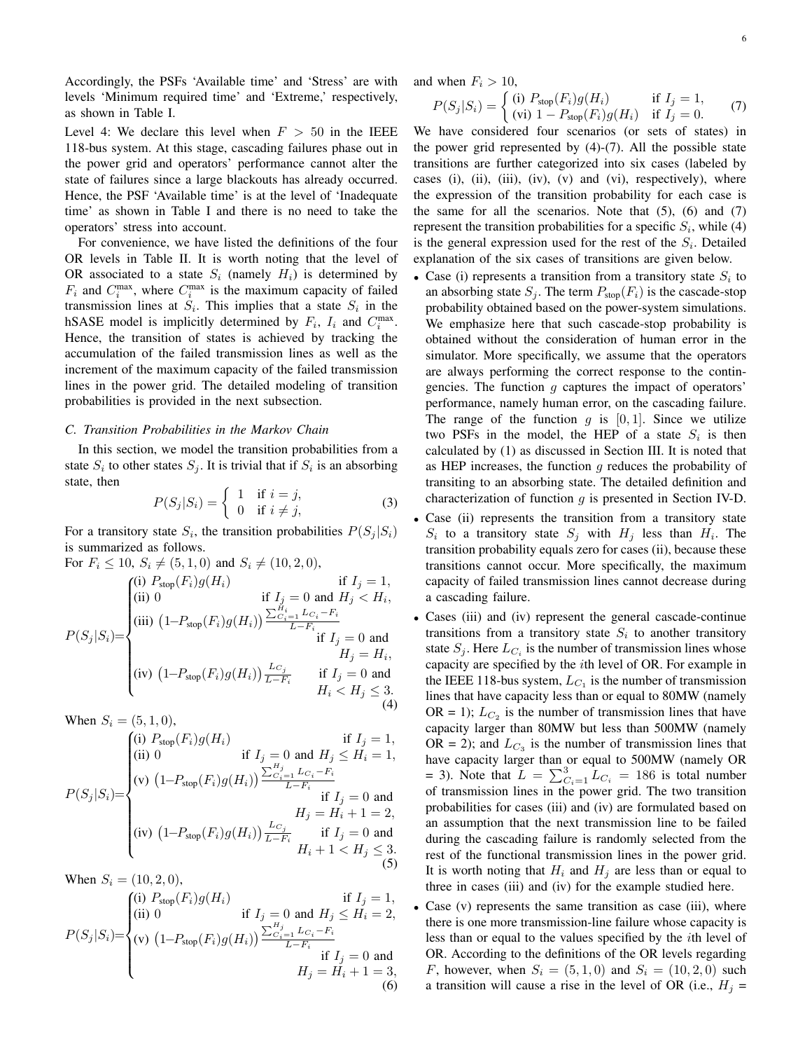Accordingly, the PSFs 'Available time' and 'Stress' are with levels 'Minimum required time' and 'Extreme,' respectively, as shown in Table I.

Level 4: We declare this level when  $F > 50$  in the IEEE 118-bus system. At this stage, cascading failures phase out in the power grid and operators' performance cannot alter the state of failures since a large blackouts has already occurred. Hence, the PSF 'Available time' is at the level of 'Inadequate time' as shown in Table I and there is no need to take the operators' stress into account.

For convenience, we have listed the definitions of the four OR levels in Table II. It is worth noting that the level of OR associated to a state  $S_i$  (namely  $H_i$ ) is determined by  $F_i$  and  $C_i^{\max}$ , where  $C_i^{\max}$  is the maximum capacity of failed transmission lines at  $S_i$ . This implies that a state  $S_i$  in the hSASE model is implicitly determined by  $F_i$ ,  $I_i$  and  $C_i^{\max}$ . Hence, the transition of states is achieved by tracking the accumulation of the failed transmission lines as well as the increment of the maximum capacity of the failed transmission lines in the power grid. The detailed modeling of transition probabilities is provided in the next subsection.

#### *C. Transition Probabilities in the Markov Chain*

 $F \times 10, \Omega$  (f 1, 0) and  $\Omega$  (10, 2, 0)

In this section, we model the transition probabilities from a state  $S_i$  to other states  $S_j$ . It is trivial that if  $S_i$  is an absorbing state, then

$$
P(S_j|S_i) = \begin{cases} 1 & \text{if } i = j, \\ 0 & \text{if } i \neq j, \end{cases}
$$
 (3)

For a transitory state  $S_i$ , the transition probabilities  $P(S_j|S_i)$ is summarized as follows.

For 
$$
F_i \ge 10
$$
,  $S_i \ne (3, 1, 0)$  and  $S_i \ne (10, 2, 0)$ ,  
\n
$$
P(S_j|S_i) = \begin{cases}\n(i) P_{\text{stop}}(F_i)g(H_i) & \text{if } I_j = 1, \\
(iii) 0 & \text{if } I_j = 0 \text{ and } H_j < H_i, \\
(iiii) (1 - P_{\text{stop}}(F_i)g(H_i)) \frac{\sum_{i=1}^{H_i} L_{C_i} - F_i}{L - F_i} & \text{if } I_j = 0 \text{ and } \\
(iiv) (1 - P_{\text{stop}}(F_i)g(H_i)) \frac{L_{C_j}}{L - F_i} & \text{if } I_j = 0 \text{ and } \\
H_j = H_i, \\
H_i < H_j \le 3.\n\end{cases}
$$

When 
$$
S_i = (5, 1, 0)
$$
,

$$
P(S_j|S_i) = \begin{cases} \n(i) \ P_{\text{stop}}(F_i)g(H_i) & \text{if } I_j = 1, \\ \n(ii) \ 0 & \text{if } I_j = 0 \text{ and } H_j \le H_i = 1, \\ \n(v) \ \left(1 - P_{\text{stop}}(F_i)g(H_i)\right) \frac{\sum_{C_i=1}^{H_j} L_{C_i} - F_i}{L - F_i} & \text{if } I_j = 0 \text{ and } \\ \n(v) \ \left(1 - P_{\text{stop}}(F_i)g(H_i)\right) \frac{L_{C_j}}{L - F_i} & \text{if } I_j = 0 \text{ and } \\ \n(u) \ \left(1 - P_{\text{stop}}(F_i)g(H_i)\right) \frac{L_{C_j}}{L - F_i} & \text{if } I_j = 0 \text{ and } \\ \nH_i + 1 < H_j \le 3. \n\end{cases}
$$

When 
$$
S_i = (10, 2, 0)
$$
,  
\n
$$
P(S_j|S_i) = \begin{cases}\n(i) P_{\text{stop}}(F_i)g(H_i) & \text{if } I_j = 1, \\
(ii) 0 & \text{if } I_j = 0 \text{ and } H_j \le H_i = 2, \\
(v) (1 - P_{\text{stop}}(F_i)g(H_i)) \frac{\sum_{C_{i=1}}^{H_j} L_{C_i} - F_i}{L - F_i} & \text{if } I_j = 0 \text{ and } \\
& H_j = H_i + 1 = 3, \\
& (6)\n\end{cases}
$$

and when  $F_i > 10$ ,

$$
P(S_j|S_i) = \begin{cases} \text{(i)} \ P_{\text{stop}}(F_i)g(H_i) & \text{if } I_j = 1, \\ \text{(vi)} \ 1 - P_{\text{stop}}(F_i)g(H_i) & \text{if } I_j = 0. \end{cases} \tag{7}
$$

We have considered four scenarios (or sets of states) in the power grid represented by (4)-(7). All the possible state transitions are further categorized into six cases (labeled by cases (i), (ii), (iii), (iv), (v) and (vi), respectively), where the expression of the transition probability for each case is the same for all the scenarios. Note that  $(5)$ ,  $(6)$  and  $(7)$ represent the transition probabilities for a specific  $S_i$ , while (4) is the general expression used for the rest of the  $S_i$ . Detailed explanation of the six cases of transitions are given below.

- Case (i) represents a transition from a transitory state  $S_i$  to an absorbing state  $S_i$ . The term  $P_{\text{stop}}(F_i)$  is the cascade-stop probability obtained based on the power-system simulations. We emphasize here that such cascade-stop probability is obtained without the consideration of human error in the simulator. More specifically, we assume that the operators are always performing the correct response to the contingencies. The function  $g$  captures the impact of operators' performance, namely human error, on the cascading failure. The range of the function q is  $[0, 1]$ . Since we utilize two PSFs in the model, the HEP of a state  $S_i$  is then calculated by (1) as discussed in Section III. It is noted that as HEP increases, the function  $g$  reduces the probability of transiting to an absorbing state. The detailed definition and characterization of function  $q$  is presented in Section IV-D.
- Case (ii) represents the transition from a transitory state  $S_i$  to a transitory state  $S_j$  with  $H_j$  less than  $H_i$ . The transition probability equals zero for cases (ii), because these transitions cannot occur. More specifically, the maximum capacity of failed transmission lines cannot decrease during a cascading failure.
- Cases (iii) and (iv) represent the general cascade-continue transitions from a transitory state  $S_i$  to another transitory state  $S_j$ . Here  $L_{C_i}$  is the number of transmission lines whose capacity are specified by the ith level of OR. For example in the IEEE 118-bus system,  $L_{C_1}$  is the number of transmission lines that have capacity less than or equal to 80MW (namely OR = 1);  $L_{C_2}$  is the number of transmission lines that have capacity larger than 80MW but less than 500MW (namely OR = 2); and  $L_{C_3}$  is the number of transmission lines that have capacity larger than or equal to 500MW (namely OR = 3). Note that  $L = \sum_{i=1}^{3} L_{C_i} = 186$  is total number of transmission lines in the power grid. The two transition probabilities for cases (iii) and (iv) are formulated based on an assumption that the next transmission line to be failed during the cascading failure is randomly selected from the rest of the functional transmission lines in the power grid. It is worth noting that  $H_i$  and  $H_j$  are less than or equal to three in cases (iii) and (iv) for the example studied here.
- Case (v) represents the same transition as case (iii), where there is one more transmission-line failure whose capacity is less than or equal to the values specified by the ith level of OR. According to the definitions of the OR levels regarding *F*, however, when  $S_i = (5, 1, 0)$  and  $S_i = (10, 2, 0)$  such a transition will cause a rise in the level of OR (i.e.,  $H_i =$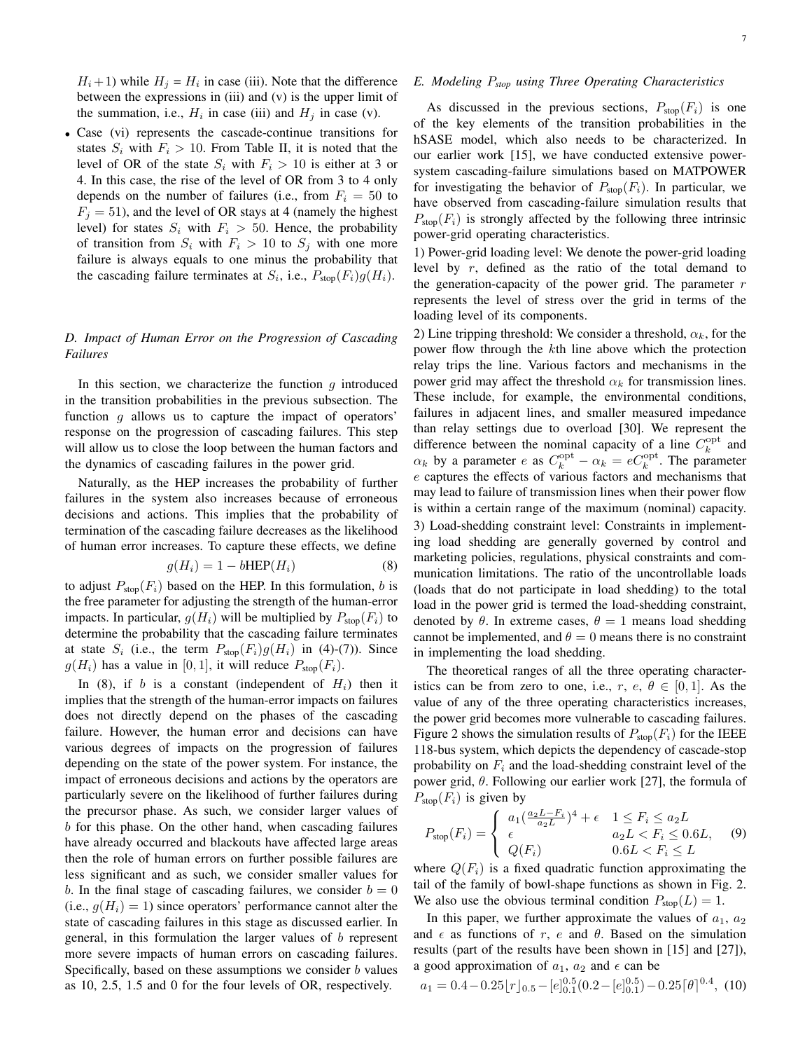$H_i + 1$ ) while  $H_j = H_i$  in case (iii). Note that the difference between the expressions in (iii) and (v) is the upper limit of the summation, i.e.,  $H_i$  in case (iii) and  $H_j$  in case (v).

• Case (vi) represents the cascade-continue transitions for states  $S_i$  with  $F_i > 10$ . From Table II, it is noted that the level of OR of the state  $S_i$  with  $F_i > 10$  is either at 3 or 4. In this case, the rise of the level of OR from 3 to 4 only depends on the number of failures (i.e., from  $F_i = 50$  to  $F_j = 51$ ), and the level of OR stays at 4 (namely the highest level) for states  $S_i$  with  $F_i > 50$ . Hence, the probability of transition from  $S_i$  with  $F_i > 10$  to  $S_j$  with one more failure is always equals to one minus the probability that the cascading failure terminates at  $S_i$ , i.e.,  $P_{\text{stop}}(F_i)g(H_i)$ .

# *D. Impact of Human Error on the Progression of Cascading Failures*

In this section, we characterize the function  $q$  introduced in the transition probabilities in the previous subsection. The function  $q$  allows us to capture the impact of operators' response on the progression of cascading failures. This step will allow us to close the loop between the human factors and the dynamics of cascading failures in the power grid.

Naturally, as the HEP increases the probability of further failures in the system also increases because of erroneous decisions and actions. This implies that the probability of termination of the cascading failure decreases as the likelihood of human error increases. To capture these effects, we define

$$
g(H_i) = 1 - b\text{HEP}(H_i) \tag{8}
$$

to adjust  $P_{\text{stop}}(F_i)$  based on the HEP. In this formulation, b is the free parameter for adjusting the strength of the human-error impacts. In particular,  $g(H_i)$  will be multiplied by  $P_{stop}(F_i)$  to determine the probability that the cascading failure terminates at state  $S_i$  (i.e., the term  $P_{\text{stop}}(F_i)g(H_i)$  in (4)-(7)). Since  $g(H_i)$  has a value in [0, 1], it will reduce  $P_{\text{stop}}(F_i)$ .

In (8), if b is a constant (independent of  $H_i$ ) then it implies that the strength of the human-error impacts on failures does not directly depend on the phases of the cascading failure. However, the human error and decisions can have various degrees of impacts on the progression of failures depending on the state of the power system. For instance, the impact of erroneous decisions and actions by the operators are particularly severe on the likelihood of further failures during the precursor phase. As such, we consider larger values of b for this phase. On the other hand, when cascading failures have already occurred and blackouts have affected large areas then the role of human errors on further possible failures are less significant and as such, we consider smaller values for b. In the final stage of cascading failures, we consider  $b = 0$ (i.e.,  $q(H_i) = 1$ ) since operators' performance cannot alter the state of cascading failures in this stage as discussed earlier. In general, in this formulation the larger values of b represent more severe impacts of human errors on cascading failures. Specifically, based on these assumptions we consider  $b$  values as 10, 2.5, 1.5 and 0 for the four levels of OR, respectively.

## *E. Modeling* P*stop using Three Operating Characteristics*

As discussed in the previous sections,  $P_{\text{stop}}(F_i)$  is one of the key elements of the transition probabilities in the hSASE model, which also needs to be characterized. In our earlier work [15], we have conducted extensive powersystem cascading-failure simulations based on MATPOWER for investigating the behavior of  $P_{\text{stop}}(F_i)$ . In particular, we have observed from cascading-failure simulation results that  $P_{\text{stop}}(F_i)$  is strongly affected by the following three intrinsic power-grid operating characteristics.

1) Power-grid loading level: We denote the power-grid loading level by r, defined as the ratio of the total demand to the generation-capacity of the power grid. The parameter  $r$ represents the level of stress over the grid in terms of the loading level of its components.

2) Line tripping threshold: We consider a threshold,  $\alpha_k$ , for the power flow through the kth line above which the protection relay trips the line. Various factors and mechanisms in the power grid may affect the threshold  $\alpha_k$  for transmission lines. These include, for example, the environmental conditions, failures in adjacent lines, and smaller measured impedance than relay settings due to overload [30]. We represent the difference between the nominal capacity of a line  $C_k^{\text{opt}}$  and  $\alpha_k$  by a parameter e as  $C_k^{\text{opt}} - \alpha_k = e C_k^{\text{opt}}$ . The parameter e captures the effects of various factors and mechanisms that may lead to failure of transmission lines when their power flow is within a certain range of the maximum (nominal) capacity. 3) Load-shedding constraint level: Constraints in implementing load shedding are generally governed by control and marketing policies, regulations, physical constraints and communication limitations. The ratio of the uncontrollable loads (loads that do not participate in load shedding) to the total load in the power grid is termed the load-shedding constraint, denoted by  $\theta$ . In extreme cases,  $\theta = 1$  means load shedding cannot be implemented, and  $\theta = 0$  means there is no constraint in implementing the load shedding.

The theoretical ranges of all the three operating characteristics can be from zero to one, i.e.,  $r, e, \theta \in [0, 1]$ . As the value of any of the three operating characteristics increases, the power grid becomes more vulnerable to cascading failures. Figure 2 shows the simulation results of  $P_{\text{stop}}(F_i)$  for the IEEE 118-bus system, which depicts the dependency of cascade-stop probability on  $F_i$  and the load-shedding constraint level of the power grid,  $\theta$ . Following our earlier work [27], the formula of  $P_{\text{stop}}(F_i)$  is given by

$$
P_{\text{stop}}(F_i) = \begin{cases} a_1 \left(\frac{a_2 L - F_i}{a_2 L}\right)^4 + \epsilon & 1 \le F_i \le a_2 L \\ \epsilon & a_2 L < F_i \le 0.6 L, \\ Q(F_i) & 0.6 L < F_i \le L \end{cases} \tag{9}
$$

where  $Q(F_i)$  is a fixed quadratic function approximating the tail of the family of bowl-shape functions as shown in Fig. 2. We also use the obvious terminal condition  $P_{\text{stop}}(L) = 1$ .

In this paper, we further approximate the values of  $a_1$ ,  $a_2$ and  $\epsilon$  as functions of r, e and  $\theta$ . Based on the simulation results (part of the results have been shown in [15] and [27]), a good approximation of  $a_1$ ,  $a_2$  and  $\epsilon$  can be

$$
a_1 = 0.4 - 0.25[r]_{0.5} - [e]_{0.1}^{0.5}(0.2 - [e]_{0.1}^{0.5}) - 0.25[\theta]_{0.4}^{0.4}, (10)
$$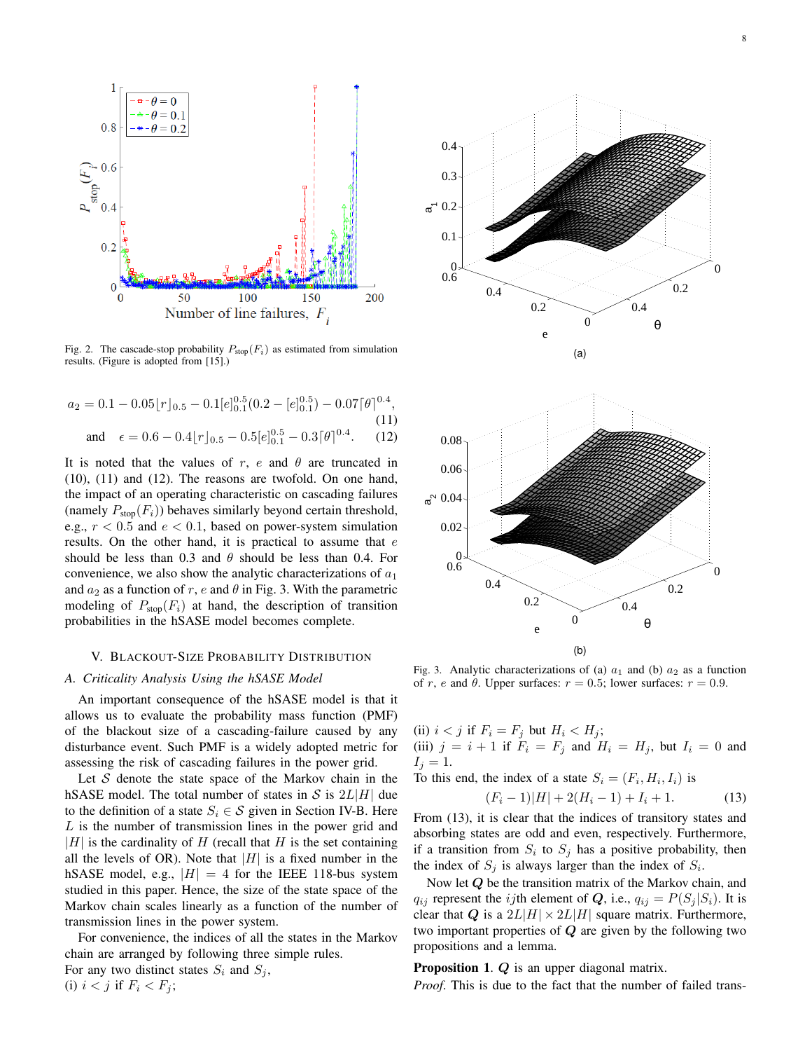

Fig. 2. The cascade-stop probability  $P_{\text{stop}}(F_i)$  as estimated from simulation results. (Figure is adopted from [15].)

$$
a_2 = 0.1 - 0.05[r]_{0.5} - 0.1[e]_{0.1}^{0.5}(0.2 - [e]_{0.1}^{0.5}) - 0.07[\theta]^{0.4},
$$
  
and 
$$
\epsilon = 0.6 - 0.4[r]_{0.5} - 0.5[e]_{0.1}^{0.5} - 0.3[\theta]^{0.4}.
$$
 (12)

It is noted that the values of r, e and  $\theta$  are truncated in (10), (11) and (12). The reasons are twofold. On one hand, the impact of an operating characteristic on cascading failures (namely  $P_{\text{stop}}(F_i)$ ) behaves similarly beyond certain threshold, e.g.,  $r < 0.5$  and  $e < 0.1$ , based on power-system simulation results. On the other hand, it is practical to assume that  $e$ should be less than 0.3 and  $\theta$  should be less than 0.4. For convenience, we also show the analytic characterizations of  $a_1$ and  $a_2$  as a function of r, e and  $\theta$  in Fig. 3. With the parametric modeling of  $P_{\text{stop}}(F_i)$  at hand, the description of transition probabilities in the hSASE model becomes complete.

#### V. BLACKOUT-SIZE PROBABILITY DISTRIBUTION

#### *A. Criticality Analysis Using the hSASE Model*

An important consequence of the hSASE model is that it allows us to evaluate the probability mass function (PMF) of the blackout size of a cascading-failure caused by any disturbance event. Such PMF is a widely adopted metric for assessing the risk of cascading failures in the power grid.

Let  $S$  denote the state space of the Markov chain in the hSASE model. The total number of states in S is  $2L|H|$  due to the definition of a state  $S_i \in \mathcal{S}$  given in Section IV-B. Here L is the number of transmission lines in the power grid and  $|H|$  is the cardinality of H (recall that H is the set containing all the levels of OR). Note that  $|H|$  is a fixed number in the hSASE model, e.g.,  $|H| = 4$  for the IEEE 118-bus system studied in this paper. Hence, the size of the state space of the Markov chain scales linearly as a function of the number of transmission lines in the power system.

For convenience, the indices of all the states in the Markov chain are arranged by following three simple rules.

For any two distinct states  $S_i$  and  $S_j$ , (i)  $i < j$  if  $F_i < F_j$ ;



Fig. 3. Analytic characterizations of (a)  $a_1$  and (b)  $a_2$  as a function of r, e and  $\theta$ . Upper surfaces:  $r = 0.5$ ; lower surfaces:  $r = 0.9$ .

(ii)  $i < j$  if  $F_i = F_j$  but  $H_i < H_j$ ; (iii)  $j = i + 1$  if  $F_i = F_j$  and  $H_i = H_j$ , but  $I_i = 0$  and  $I_i = 1$ .

To this end, the index of a state  $S_i = (F_i, H_i, I_i)$  is

$$
(F_i - 1)|H| + 2(H_i - 1) + I_i + 1.
$$
 (13)

From (13), it is clear that the indices of transitory states and absorbing states are odd and even, respectively. Furthermore, if a transition from  $S_i$  to  $S_j$  has a positive probability, then the index of  $S_j$  is always larger than the index of  $S_i$ .

Now let  $Q$  be the transition matrix of the Markov chain, and  $q_{ij}$  represent the *i*jth element of Q, i.e.,  $q_{ij} = P(S_i | S_i)$ . It is clear that Q is a  $2L|H| \times 2L|H|$  square matrix. Furthermore, two important properties of  $Q$  are given by the following two propositions and a lemma.

Proposition 1. Q is an upper diagonal matrix.

*Proof*. This is due to the fact that the number of failed trans-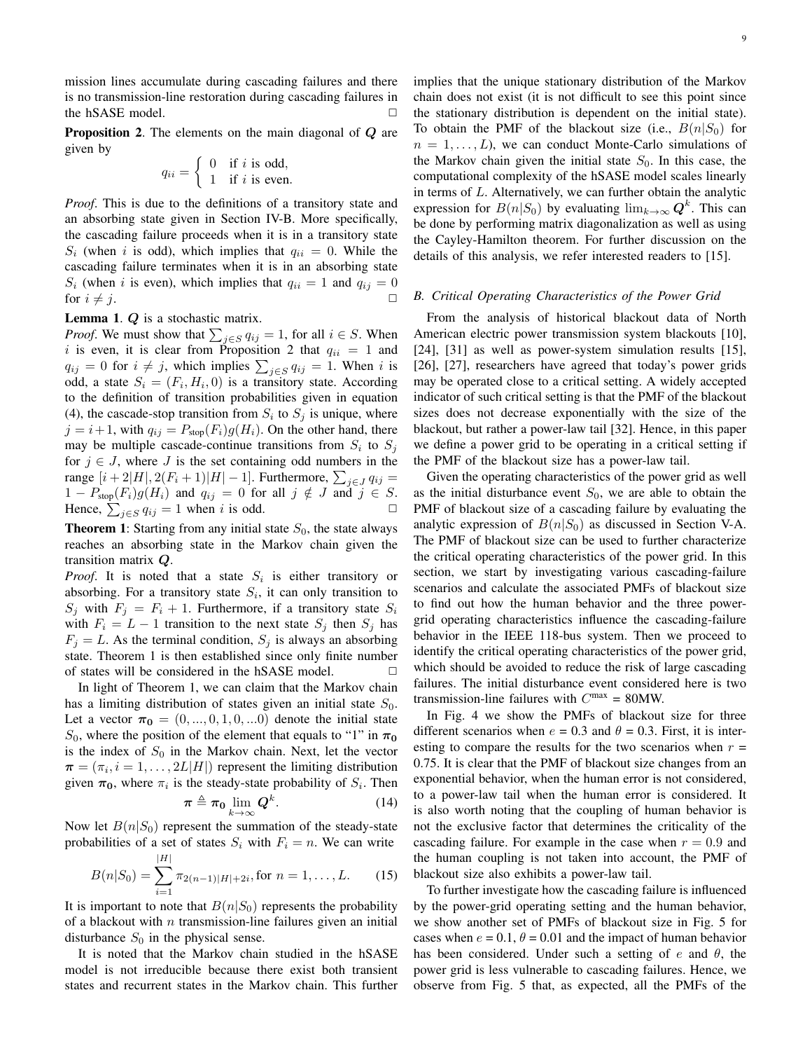mission lines accumulate during cascading failures and there is no transmission-line restoration during cascading failures in the hSASE model.  $\Box$ 

**Proposition 2.** The elements on the main diagonal of Q are given by

$$
q_{ii} = \begin{cases} 0 & \text{if } i \text{ is odd,} \\ 1 & \text{if } i \text{ is even.} \end{cases}
$$

*Proof*. This is due to the definitions of a transitory state and an absorbing state given in Section IV-B. More specifically, the cascading failure proceeds when it is in a transitory state  $S_i$  (when i is odd), which implies that  $q_{ii} = 0$ . While the cascading failure terminates when it is in an absorbing state  $S_i$  (when i is even), which implies that  $q_{ii} = 1$  and  $q_{ij} = 0$ for  $i \neq j$ .

Lemma 1. Q is a stochastic matrix.

*Proof.* We must show that  $\sum_{j \in S} q_{ij} = 1$ , for all  $i \in S$ . When i is even, it is clear from Proposition 2 that  $q_{ii} = 1$  and  $q_{ij} = 0$  for  $i \neq j$ , which implies  $\sum_{j \in S} q_{ij} = 1$ . When i is odd, a state  $S_i = (F_i, H_i, 0)$  is a transitory state. According to the definition of transition probabilities given in equation (4), the cascade-stop transition from  $S_i$  to  $S_j$  is unique, where  $j = i + 1$ , with  $q_{ij} = P_{stop}(F_i)g(H_i)$ . On the other hand, there may be multiple cascade-continue transitions from  $S_i$  to  $S_j$ for  $j \in J$ , where J is the set containing odd numbers in the range  $[i+2|H|, 2(F_i+1)|H|-1]$ . Furthermore,  $\sum_{j\in J} q_{ij} =$  $1 - P_{\text{stop}}(F_i)g(H_i)$  and  $q_{ij} = 0$  for all  $j \notin J$  and  $j \in S$ . Hence,  $\sum_{j \in S} q_{ij} = 1$  when i is odd.

**Theorem 1:** Starting from any initial state  $S_0$ , the state always reaches an absorbing state in the Markov chain given the transition matrix Q.

*Proof.* It is noted that a state  $S_i$  is either transitory or absorbing. For a transitory state  $S_i$ , it can only transition to  $S_i$  with  $F_i = F_i + 1$ . Furthermore, if a transitory state  $S_i$ with  $F_i = L - 1$  transition to the next state  $S_i$  then  $S_i$  has  $F_i = L$ . As the terminal condition,  $S_i$  is always an absorbing state. Theorem 1 is then established since only finite number of states will be considered in the hSASE model.  $\Box$ 

In light of Theorem 1, we can claim that the Markov chain has a limiting distribution of states given an initial state  $S_0$ . Let a vector  $\boldsymbol{\pi_0} = (0, ..., 0, 1, 0, ...)$  denote the initial state  $S_0$ , where the position of the element that equals to "1" in  $\pi_0$ is the index of  $S_0$  in the Markov chain. Next, let the vector  $\boldsymbol{\pi} = (\pi_i, i = 1, \dots, 2L|H|)$  represent the limiting distribution given  $\pi_0$ , where  $\pi_i$  is the steady-state probability of  $S_i$ . Then

$$
\boldsymbol{\pi} \triangleq \boldsymbol{\pi_0} \lim_{k \to \infty} \mathbf{Q}^k. \tag{14}
$$

Now let  $B(n|S_0)$  represent the summation of the steady-state probabilities of a set of states  $S_i$  with  $F_i = n$ . We can write

$$
B(n|S_0) = \sum_{i=1}^{|H|} \pi_{2(n-1)|H|+2i}, \text{for } n = 1, \dots, L. \tag{15}
$$

It is important to note that  $B(n|S_0)$  represents the probability of a blackout with  $n$  transmission-line failures given an initial disturbance  $S_0$  in the physical sense.

It is noted that the Markov chain studied in the hSASE model is not irreducible because there exist both transient states and recurrent states in the Markov chain. This further implies that the unique stationary distribution of the Markov chain does not exist (it is not difficult to see this point since the stationary distribution is dependent on the initial state). To obtain the PMF of the blackout size (i.e.,  $B(n|S_0)$  for  $n = 1, \ldots, L$ , we can conduct Monte-Carlo simulations of the Markov chain given the initial state  $S_0$ . In this case, the computational complexity of the hSASE model scales linearly in terms of L. Alternatively, we can further obtain the analytic expression for  $B(n|S_0)$  by evaluating  $\lim_{k\to\infty} \mathbf{Q}^k$ . This can be done by performing matrix diagonalization as well as using the Cayley-Hamilton theorem. For further discussion on the details of this analysis, we refer interested readers to [15].

#### *B. Critical Operating Characteristics of the Power Grid*

From the analysis of historical blackout data of North American electric power transmission system blackouts [10], [24], [31] as well as power-system simulation results [15], [26], [27], researchers have agreed that today's power grids may be operated close to a critical setting. A widely accepted indicator of such critical setting is that the PMF of the blackout sizes does not decrease exponentially with the size of the blackout, but rather a power-law tail [32]. Hence, in this paper we define a power grid to be operating in a critical setting if the PMF of the blackout size has a power-law tail.

Given the operating characteristics of the power grid as well as the initial disturbance event  $S_0$ , we are able to obtain the PMF of blackout size of a cascading failure by evaluating the analytic expression of  $B(n|S_0)$  as discussed in Section V-A. The PMF of blackout size can be used to further characterize the critical operating characteristics of the power grid. In this section, we start by investigating various cascading-failure scenarios and calculate the associated PMFs of blackout size to find out how the human behavior and the three powergrid operating characteristics influence the cascading-failure behavior in the IEEE 118-bus system. Then we proceed to identify the critical operating characteristics of the power grid, which should be avoided to reduce the risk of large cascading failures. The initial disturbance event considered here is two transmission-line failures with  $C<sup>max</sup> = 80MW$ .

In Fig. 4 we show the PMFs of blackout size for three different scenarios when  $e = 0.3$  and  $\theta = 0.3$ . First, it is interesting to compare the results for the two scenarios when  $r =$ 0.75. It is clear that the PMF of blackout size changes from an exponential behavior, when the human error is not considered, to a power-law tail when the human error is considered. It is also worth noting that the coupling of human behavior is not the exclusive factor that determines the criticality of the cascading failure. For example in the case when  $r = 0.9$  and the human coupling is not taken into account, the PMF of blackout size also exhibits a power-law tail.

To further investigate how the cascading failure is influenced by the power-grid operating setting and the human behavior, we show another set of PMFs of blackout size in Fig. 5 for cases when  $e = 0.1$ ,  $\theta = 0.01$  and the impact of human behavior has been considered. Under such a setting of  $e$  and  $\theta$ , the power grid is less vulnerable to cascading failures. Hence, we observe from Fig. 5 that, as expected, all the PMFs of the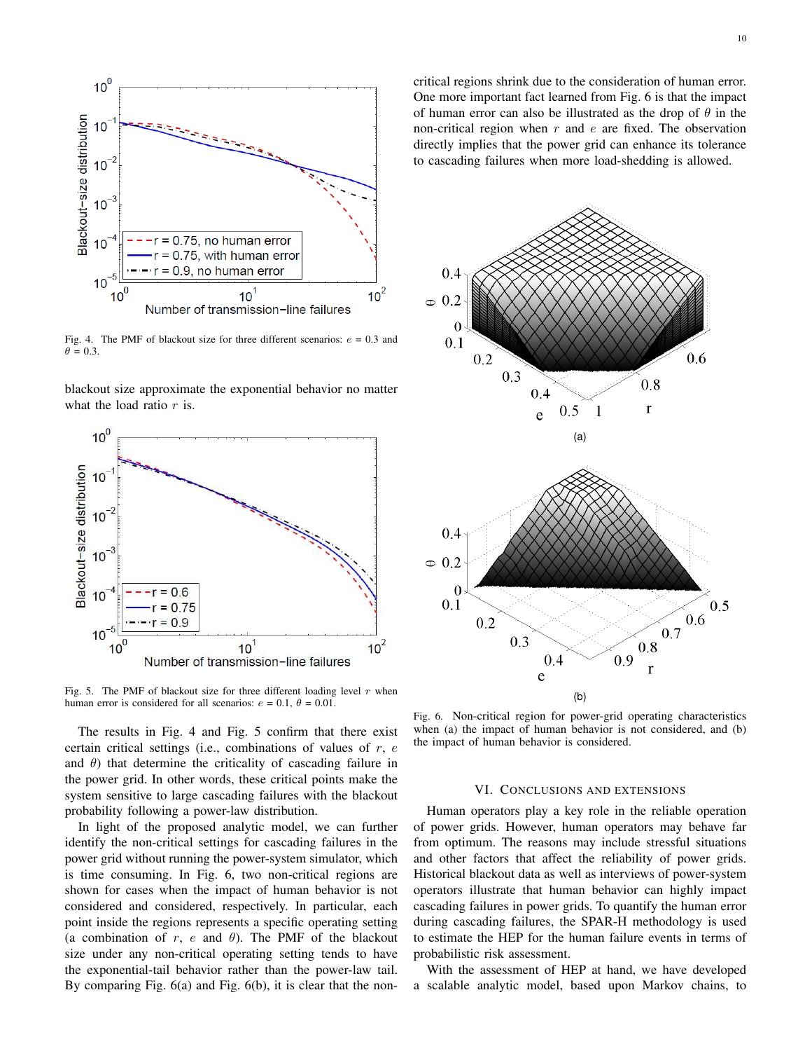

Fig. 4. The PMF of blackout size for three different scenarios:  $e = 0.3$  and  $\theta = 0.3$ .

blackout size approximate the exponential behavior no matter what the load ratio  $r$  is.



Fig. 5. The PMF of blackout size for three different loading level  $r$  when human error is considered for all scenarios:  $e = 0.1$ ,  $\theta = 0.01$ .

The results in Fig. 4 and Fig. 5 confirm that there exist certain critical settings (i.e., combinations of values of  $r, e$ and  $\theta$ ) that determine the criticality of cascading failure in the power grid. In other words, these critical points make the system sensitive to large cascading failures with the blackout probability following a power-law distribution.

In light of the proposed analytic model, we can further identify the non-critical settings for cascading failures in the power grid without running the power-system simulator, which is time consuming. In Fig. 6, two non-critical regions are shown for cases when the impact of human behavior is not considered and considered, respectively. In particular, each point inside the regions represents a specific operating setting (a combination of r, e and  $\theta$ ). The PMF of the blackout size under any non-critical operating setting tends to have the exponential-tail behavior rather than the power-law tail. By comparing Fig. 6(a) and Fig. 6(b), it is clear that the noncritical regions shrink due to the consideration of human error. One more important fact learned from Fig. 6 is that the impact of human error can also be illustrated as the drop of  $\theta$  in the non-critical region when  $r$  and  $e$  are fixed. The observation directly implies that the power grid can enhance its tolerance to cascading failures when more load-shedding is allowed.



Fig. 6. Non-critical region for power-grid operating characteristics when (a) the impact of human behavior is not considered, and (b) the impact of human behavior is considered.

## VI. CONCLUSIONS AND EXTENSIONS

Human operators play a key role in the reliable operation of power grids. However, human operators may behave far from optimum. The reasons may include stressful situations and other factors that affect the reliability of power grids. Historical blackout data as well as interviews of power-system operators illustrate that human behavior can highly impact cascading failures in power grids. To quantify the human error during cascading failures, the SPAR-H methodology is used to estimate the HEP for the human failure events in terms of probabilistic risk assessment.

With the assessment of HEP at hand, we have developed a scalable analytic model, based upon Markov chains, to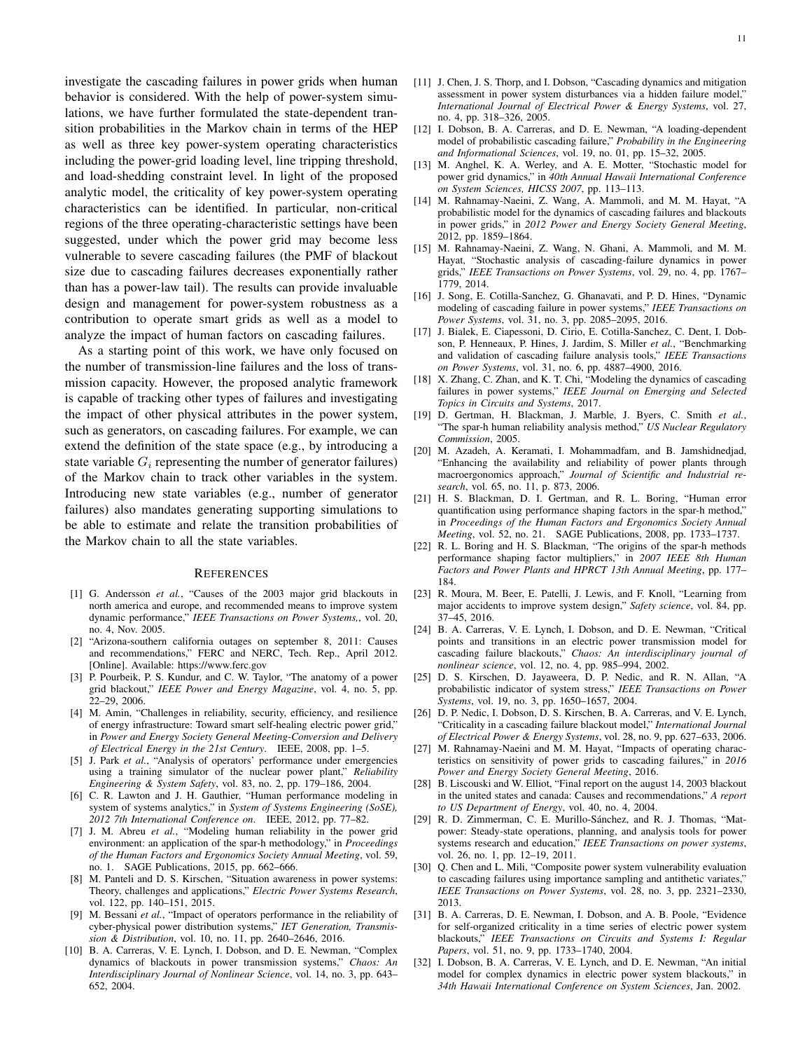investigate the cascading failures in power grids when human behavior is considered. With the help of power-system simulations, we have further formulated the state-dependent transition probabilities in the Markov chain in terms of the HEP as well as three key power-system operating characteristics including the power-grid loading level, line tripping threshold, and load-shedding constraint level. In light of the proposed analytic model, the criticality of key power-system operating characteristics can be identified. In particular, non-critical regions of the three operating-characteristic settings have been suggested, under which the power grid may become less vulnerable to severe cascading failures (the PMF of blackout size due to cascading failures decreases exponentially rather than has a power-law tail). The results can provide invaluable design and management for power-system robustness as a contribution to operate smart grids as well as a model to analyze the impact of human factors on cascading failures.

As a starting point of this work, we have only focused on the number of transmission-line failures and the loss of transmission capacity. However, the proposed analytic framework is capable of tracking other types of failures and investigating the impact of other physical attributes in the power system, such as generators, on cascading failures. For example, we can extend the definition of the state space (e.g., by introducing a state variable  $G_i$  representing the number of generator failures) of the Markov chain to track other variables in the system. Introducing new state variables (e.g., number of generator failures) also mandates generating supporting simulations to be able to estimate and relate the transition probabilities of the Markov chain to all the state variables.

## **REFERENCES**

- [1] G. Andersson *et al.*, "Causes of the 2003 major grid blackouts in north america and europe, and recommended means to improve system dynamic performance," *IEEE Transactions on Power Systems,*, vol. 20, no. 4, Nov. 2005.
- [2] "Arizona-southern california outages on september 8, 2011: Causes and recommendations," FERC and NERC, Tech. Rep., April 2012. [Online]. Available: https://www.ferc.gov
- [3] P. Pourbeik, P. S. Kundur, and C. W. Taylor, "The anatomy of a power grid blackout," *IEEE Power and Energy Magazine*, vol. 4, no. 5, pp. 22–29, 2006.
- [4] M. Amin, "Challenges in reliability, security, efficiency, and resilience of energy infrastructure: Toward smart self-healing electric power grid," in *Power and Energy Society General Meeting-Conversion and Delivery of Electrical Energy in the 21st Century*. IEEE, 2008, pp. 1–5.
- [5] J. Park *et al.*, "Analysis of operators' performance under emergencies using a training simulator of the nuclear power plant," *Reliability Engineering & System Safety*, vol. 83, no. 2, pp. 179–186, 2004.
- [6] C. R. Lawton and J. H. Gauthier, "Human performance modeling in system of systems analytics," in *System of Systems Engineering (SoSE), 2012 7th International Conference on*. IEEE, 2012, pp. 77–82.
- [7] J. M. Abreu *et al.*, "Modeling human reliability in the power grid environment: an application of the spar-h methodology," in *Proceedings of the Human Factors and Ergonomics Society Annual Meeting*, vol. 59, no. 1. SAGE Publications, 2015, pp. 662–666.
- [8] M. Panteli and D. S. Kirschen, "Situation awareness in power systems: Theory, challenges and applications," *Electric Power Systems Research*, vol. 122, pp. 140–151, 2015.
- [9] M. Bessani *et al.*, "Impact of operators performance in the reliability of cyber-physical power distribution systems," *IET Generation, Transmission & Distribution*, vol. 10, no. 11, pp. 2640–2646, 2016.
- [10] B. A. Carreras, V. E. Lynch, I. Dobson, and D. E. Newman, "Complex dynamics of blackouts in power transmission systems," *Chaos: An Interdisciplinary Journal of Nonlinear Science*, vol. 14, no. 3, pp. 643– 652, 2004.
- [11] J. Chen, J. S. Thorp, and I. Dobson, "Cascading dynamics and mitigation assessment in power system disturbances via a hidden failure model," *International Journal of Electrical Power & Energy Systems*, vol. 27, no. 4, pp. 318–326, 2005.
- [12] I. Dobson, B. A. Carreras, and D. E. Newman, "A loading-dependent model of probabilistic cascading failure," *Probability in the Engineering and Informational Sciences*, vol. 19, no. 01, pp. 15–32, 2005.
- [13] M. Anghel, K. A. Werley, and A. E. Motter, "Stochastic model for power grid dynamics," in *40th Annual Hawaii International Conference on System Sciences, HICSS 2007*, pp. 113–113.
- [14] M. Rahnamay-Naeini, Z. Wang, A. Mammoli, and M. M. Hayat, "A probabilistic model for the dynamics of cascading failures and blackouts in power grids," in *2012 Power and Energy Society General Meeting*, 2012, pp. 1859–1864.
- [15] M. Rahnamay-Naeini, Z. Wang, N. Ghani, A. Mammoli, and M. M. Hayat, "Stochastic analysis of cascading-failure dynamics in power grids," *IEEE Transactions on Power Systems*, vol. 29, no. 4, pp. 1767– 1779, 2014.
- [16] J. Song, E. Cotilla-Sanchez, G. Ghanavati, and P. D. Hines, "Dynamic modeling of cascading failure in power systems," *IEEE Transactions on Power Systems*, vol. 31, no. 3, pp. 2085–2095, 2016.
- [17] J. Bialek, E. Ciapessoni, D. Cirio, E. Cotilla-Sanchez, C. Dent, I. Dobson, P. Henneaux, P. Hines, J. Jardim, S. Miller *et al.*, "Benchmarking and validation of cascading failure analysis tools," *IEEE Transactions on Power Systems*, vol. 31, no. 6, pp. 4887–4900, 2016.
- [18] X. Zhang, C. Zhan, and K. T. Chi, "Modeling the dynamics of cascading failures in power systems," *IEEE Journal on Emerging and Selected Topics in Circuits and Systems*, 2017.
- [19] D. Gertman, H. Blackman, J. Marble, J. Byers, C. Smith *et al.*, "The spar-h human reliability analysis method," *US Nuclear Regulatory Commission*, 2005.
- [20] M. Azadeh, A. Keramati, I. Mohammadfam, and B. Jamshidnedjad, "Enhancing the availability and reliability of power plants through macroergonomics approach," *Journal of Scientific and Industrial research*, vol. 65, no. 11, p. 873, 2006.
- [21] H. S. Blackman, D. I. Gertman, and R. L. Boring, "Human error quantification using performance shaping factors in the spar-h method," in *Proceedings of the Human Factors and Ergonomics Society Annual Meeting*, vol. 52, no. 21. SAGE Publications, 2008, pp. 1733–1737.
- [22] R. L. Boring and H. S. Blackman, "The origins of the spar-h methods performance shaping factor multipliers," in *2007 IEEE 8th Human Factors and Power Plants and HPRCT 13th Annual Meeting*, pp. 177– 184.
- [23] R. Moura, M. Beer, E. Patelli, J. Lewis, and F. Knoll, "Learning from major accidents to improve system design," *Safety science*, vol. 84, pp. 37–45, 2016.
- [24] B. A. Carreras, V. E. Lynch, I. Dobson, and D. E. Newman, "Critical points and transitions in an electric power transmission model for cascading failure blackouts," *Chaos: An interdisciplinary journal of nonlinear science*, vol. 12, no. 4, pp. 985–994, 2002.
- [25] D. S. Kirschen, D. Jayaweera, D. P. Nedic, and R. N. Allan, "A probabilistic indicator of system stress," *IEEE Transactions on Power Systems*, vol. 19, no. 3, pp. 1650–1657, 2004.
- [26] D. P. Nedic, I. Dobson, D. S. Kirschen, B. A. Carreras, and V. E. Lynch, "Criticality in a cascading failure blackout model," *International Journal of Electrical Power & Energy Systems*, vol. 28, no. 9, pp. 627–633, 2006.
- [27] M. Rahnamay-Naeini and M. M. Hayat, "Impacts of operating characteristics on sensitivity of power grids to cascading failures," in *2016 Power and Energy Society General Meeting*, 2016.
- [28] B. Liscouski and W. Elliot, "Final report on the august 14, 2003 blackout in the united states and canada: Causes and recommendations," *A report to US Department of Energy*, vol. 40, no. 4, 2004.
- [29] R. D. Zimmerman, C. E. Murillo-Sánchez, and R. J. Thomas, "Matpower: Steady-state operations, planning, and analysis tools for power systems research and education," *IEEE Transactions on power systems*, vol. 26, no. 1, pp. 12–19, 2011.
- [30] Q. Chen and L. Mili, "Composite power system vulnerability evaluation to cascading failures using importance sampling and antithetic variates," *IEEE Transactions on Power Systems*, vol. 28, no. 3, pp. 2321–2330, 2013.
- [31] B. A. Carreras, D. E. Newman, I. Dobson, and A. B. Poole, "Evidence for self-organized criticality in a time series of electric power system blackouts," *IEEE Transactions on Circuits and Systems I: Regular Papers*, vol. 51, no. 9, pp. 1733–1740, 2004.
- [32] I. Dobson, B. A. Carreras, V. E. Lynch, and D. E. Newman, "An initial model for complex dynamics in electric power system blackouts," in *34th Hawaii International Conference on System Sciences*, Jan. 2002.